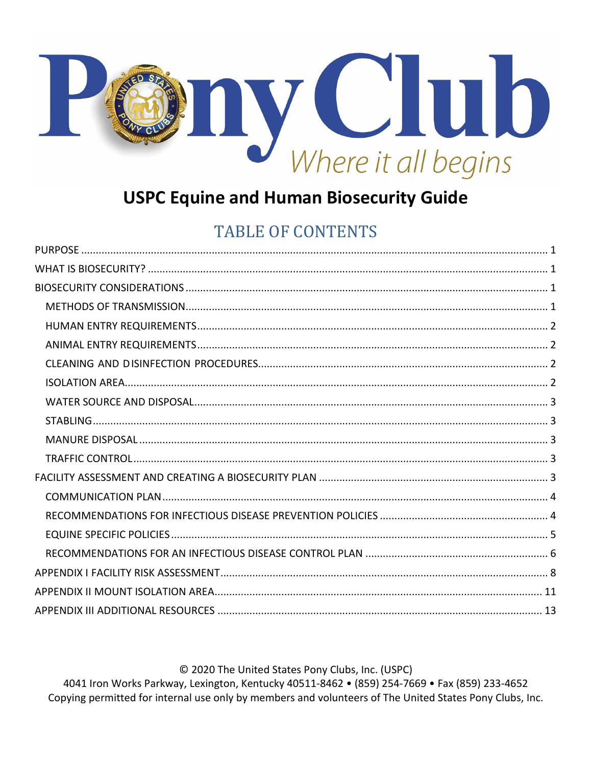

# **USPC Equine and Human Biosecurity Guide**

# **TABLE OF CONTENTS**

© 2020 The United States Pony Clubs, Inc. (USPC)

4041 Iron Works Parkway, Lexington, Kentucky 40511-8462 • (859) 254-7669 • Fax (859) 233-4652 Copying permitted for internal use only by members and volunteers of The United States Pony Clubs, Inc.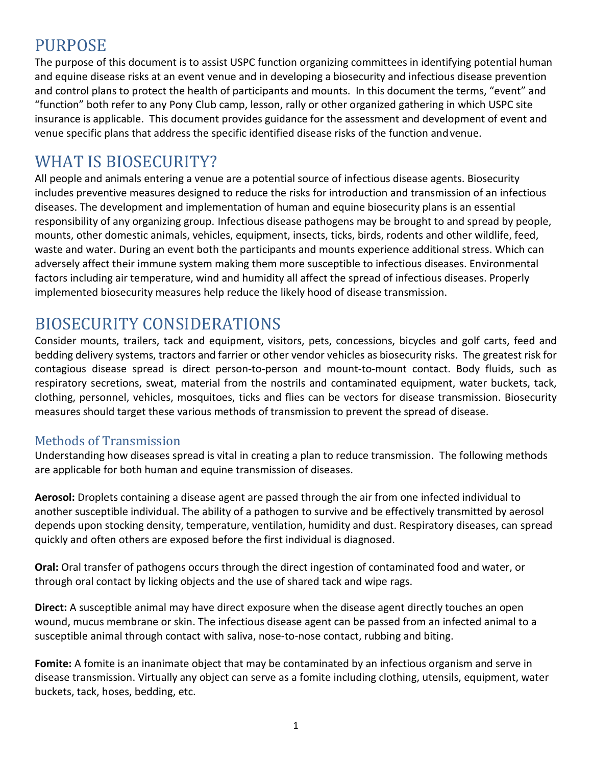## <span id="page-1-0"></span>PURPOSE

The purpose of this document is to assist USPC function organizing committees in identifying potential human and equine disease risks at an event venue and in developing a biosecurity and infectious disease prevention and control plans to protect the health of participants and mounts. In this document the terms, "event" and "function" both refer to any Pony Club camp, lesson, rally or other organized gathering in which USPC site insurance is applicable. This document provides guidance for the assessment and development of event and venue specific plans that address the specific identified disease risks of the function andvenue.

## <span id="page-1-1"></span>WHAT IS BIOSECURITY?

All people and animals entering a venue are a potential source of infectious disease agents. Biosecurity includes preventive measures designed to reduce the risks for introduction and transmission of an infectious diseases. The development and implementation of human and equine biosecurity plans is an essential responsibility of any organizing group. Infectious disease pathogens may be brought to and spread by people, mounts, other domestic animals, vehicles, equipment, insects, ticks, birds, rodents and other wildlife, feed, waste and water. During an event both the participants and mounts experience additional stress. Which can adversely affect their immune system making them more susceptible to infectious diseases. Environmental factors including air temperature, wind and humidity all affect the spread of infectious diseases. Properly implemented biosecurity measures help reduce the likely hood of disease transmission.

# <span id="page-1-2"></span>BIOSECURITY CONSIDERATIONS

Consider mounts, trailers, tack and equipment, visitors, pets, concessions, bicycles and golf carts, feed and bedding delivery systems, tractors and farrier or other vendor vehicles as biosecurity risks. The greatest risk for contagious disease spread is direct person-to-person and mount-to-mount contact. Body fluids, such as respiratory secretions, sweat, material from the nostrils and contaminated equipment, water buckets, tack, clothing, personnel, vehicles, mosquitoes, ticks and flies can be vectors for disease transmission. Biosecurity measures should target these various methods of transmission to prevent the spread of disease.

### <span id="page-1-3"></span>Methods of Transmission

Understanding how diseases spread is vital in creating a plan to reduce transmission. The following methods are applicable for both human and equine transmission of diseases.

**Aerosol:** Droplets containing a disease agent are passed through the air from one infected individual to another susceptible individual. The ability of a pathogen to survive and be effectively transmitted by aerosol depends upon stocking density, temperature, ventilation, humidity and dust. Respiratory diseases, can spread quickly and often others are exposed before the first individual is diagnosed.

**Oral:** Oral transfer of pathogens occurs through the direct ingestion of contaminated food and water, or through oral contact by licking objects and the use of shared tack and wipe rags.

**Direct:** A susceptible animal may have direct exposure when the disease agent directly touches an open wound, mucus membrane or skin. The infectious disease agent can be passed from an infected animal to a susceptible animal through contact with saliva, nose-to-nose contact, rubbing and biting.

**Fomite:** A fomite is an inanimate object that may be contaminated by an infectious organism and serve in disease transmission. Virtually any object can serve as a fomite including clothing, utensils, equipment, water buckets, tack, hoses, bedding, etc.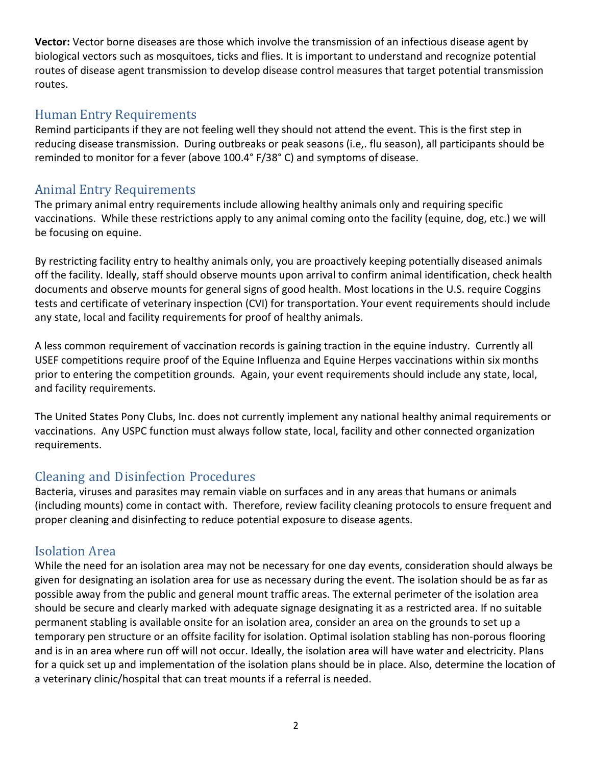**Vector:** Vector borne diseases are those which involve the transmission of an infectious disease agent by biological vectors such as mosquitoes, ticks and flies. It is important to understand and recognize potential routes of disease agent transmission to develop disease control measures that target potential transmission routes.

#### <span id="page-2-0"></span>Human Entry Requirements

Remind participants if they are not feeling well they should not attend the event. This is the first step in reducing disease transmission. During outbreaks or peak seasons (i.e,. flu season), all participants should be reminded to monitor for a fever (above 100.4° F/38° C) and symptoms of disease.

#### <span id="page-2-1"></span>Animal Entry Requirements

The primary animal entry requirements include allowing healthy animals only and requiring specific vaccinations. While these restrictions apply to any animal coming onto the facility (equine, dog, etc.) we will be focusing on equine.

By restricting facility entry to healthy animals only, you are proactively keeping potentially diseased animals off the facility. Ideally, staff should observe mounts upon arrival to confirm animal identification, check health documents and observe mounts for general signs of good health. Most locations in the U.S. require Coggins tests and certificate of veterinary inspection (CVI) for transportation. Your event requirements should include any state, local and facility requirements for proof of healthy animals.

A less common requirement of vaccination records is gaining traction in the equine industry. Currently all USEF competitions require proof of the Equine Influenza and Equine Herpes vaccinations within six months prior to entering the competition grounds. Again, your event requirements should include any state, local, and facility requirements.

The United States Pony Clubs, Inc. does not currently implement any national healthy animal requirements or vaccinations. Any USPC function must always follow state, local, facility and other connected organization requirements.

### <span id="page-2-2"></span>Cleaning and Disinfection Procedures

Bacteria, viruses and parasites may remain viable on surfaces and in any areas that humans or animals (including mounts) come in contact with. Therefore, review facility cleaning protocols to ensure frequent and proper cleaning and disinfecting to reduce potential exposure to disease agents.

### <span id="page-2-3"></span>Isolation Area

While the need for an isolation area may not be necessary for one day events, consideration should always be given for designating an isolation area for use as necessary during the event. The isolation should be as far as possible away from the public and general mount traffic areas. The external perimeter of the isolation area should be secure and clearly marked with adequate signage designating it as a restricted area. If no suitable permanent stabling is available onsite for an isolation area, consider an area on the grounds to set up a temporary pen structure or an offsite facility for isolation. Optimal isolation stabling has non-porous flooring and is in an area where run off will not occur. Ideally, the isolation area will have water and electricity. Plans for a quick set up and implementation of the isolation plans should be in place. Also, determine the location of a veterinary clinic/hospital that can treat mounts if a referral is needed.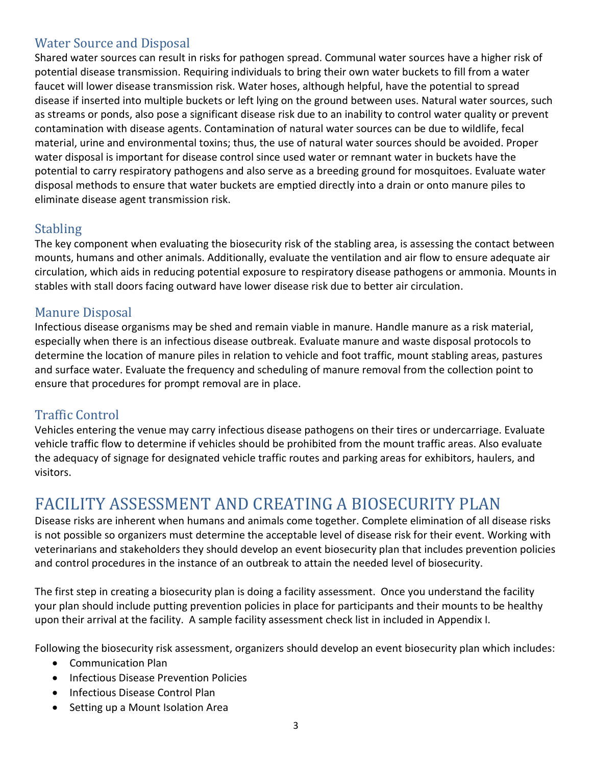### <span id="page-3-0"></span>Water Source and Disposal

Shared water sources can result in risks for pathogen spread. Communal water sources have a higher risk of potential disease transmission. Requiring individuals to bring their own water buckets to fill from a water faucet will lower disease transmission risk. Water hoses, although helpful, have the potential to spread disease if inserted into multiple buckets or left lying on the ground between uses. Natural water sources, such as streams or ponds, also pose a significant disease risk due to an inability to control water quality or prevent contamination with disease agents. Contamination of natural water sources can be due to wildlife, fecal material, urine and environmental toxins; thus, the use of natural water sources should be avoided. Proper water disposal is important for disease control since used water or remnant water in buckets have the potential to carry respiratory pathogens and also serve as a breeding ground for mosquitoes. Evaluate water disposal methods to ensure that water buckets are emptied directly into a drain or onto manure piles to eliminate disease agent transmission risk.

#### <span id="page-3-1"></span>**Stabling**

The key component when evaluating the biosecurity risk of the stabling area, is assessing the contact between mounts, humans and other animals. Additionally, evaluate the ventilation and air flow to ensure adequate air circulation, which aids in reducing potential exposure to respiratory disease pathogens or ammonia. Mounts in stables with stall doors facing outward have lower disease risk due to better air circulation.

### <span id="page-3-2"></span>Manure Disposal

Infectious disease organisms may be shed and remain viable in manure. Handle manure as a risk material, especially when there is an infectious disease outbreak. Evaluate manure and waste disposal protocols to determine the location of manure piles in relation to vehicle and foot traffic, mount stabling areas, pastures and surface water. Evaluate the frequency and scheduling of manure removal from the collection point to ensure that procedures for prompt removal are in place.

#### <span id="page-3-3"></span>Traffic Control

Vehicles entering the venue may carry infectious disease pathogens on their tires or undercarriage. Evaluate vehicle traffic flow to determine if vehicles should be prohibited from the mount traffic areas. Also evaluate the adequacy of signage for designated vehicle traffic routes and parking areas for exhibitors, haulers, and visitors.

# <span id="page-3-4"></span>FACILITY ASSESSMENT AND CREATING A BIOSECURITY PLAN

Disease risks are inherent when humans and animals come together. Complete elimination of all disease risks is not possible so organizers must determine the acceptable level of disease risk for their event. Working with veterinarians and stakeholders they should develop an event biosecurity plan that includes prevention policies and control procedures in the instance of an outbreak to attain the needed level of biosecurity.

The first step in creating a biosecurity plan is doing a facility assessment. Once you understand the facility your plan should include putting prevention policies in place for participants and their mounts to be healthy upon their arrival at the facility. A sample facility assessment check list in included in Appendix I.

Following the biosecurity risk assessment, organizers should develop an event biosecurity plan which includes:

- Communication Plan
- Infectious Disease Prevention Policies
- Infectious Disease Control Plan
- Setting up a Mount Isolation Area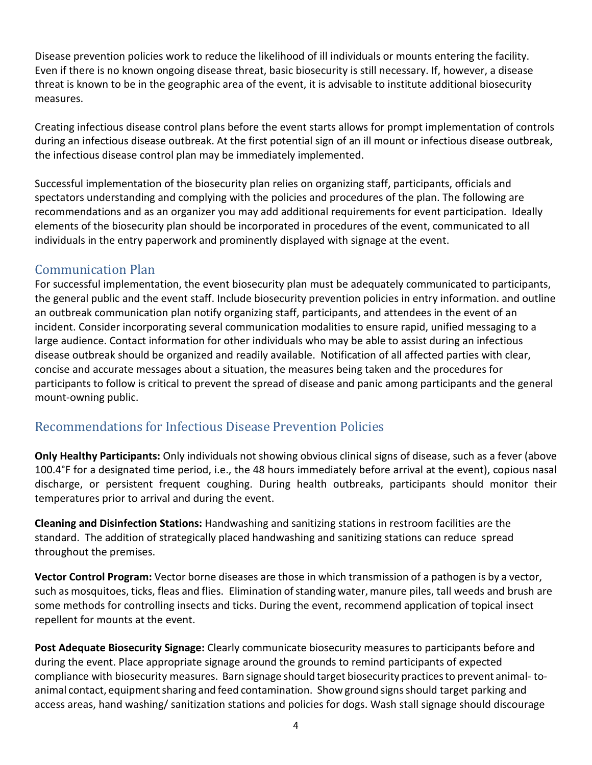Disease prevention policies work to reduce the likelihood of ill individuals or mounts entering the facility. Even if there is no known ongoing disease threat, basic biosecurity is still necessary. If, however, a disease threat is known to be in the geographic area of the event, it is advisable to institute additional biosecurity measures.

Creating infectious disease control plans before the event starts allows for prompt implementation of controls during an infectious disease outbreak. At the first potential sign of an ill mount or infectious disease outbreak, the infectious disease control plan may be immediately implemented.

Successful implementation of the biosecurity plan relies on organizing staff, participants, officials and spectators understanding and complying with the policies and procedures of the plan. The following are recommendations and as an organizer you may add additional requirements for event participation. Ideally elements of the biosecurity plan should be incorporated in procedures of the event, communicated to all individuals in the entry paperwork and prominently displayed with signage at the event.

### <span id="page-4-0"></span>Communication Plan

For successful implementation, the event biosecurity plan must be adequately communicated to participants, the general public and the event staff. Include biosecurity prevention policies in entry information. and outline an outbreak communication plan notify organizing staff, participants, and attendees in the event of an incident. Consider incorporating several communication modalities to ensure rapid, unified messaging to a large audience. Contact information for other individuals who may be able to assist during an infectious disease outbreak should be organized and readily available. Notification of all affected parties with clear, concise and accurate messages about a situation, the measures being taken and the procedures for participants to follow is critical to prevent the spread of disease and panic among participants and the general mount-owning public.

### <span id="page-4-1"></span>Recommendations for Infectious Disease Prevention Policies

**Only Healthy Participants:** Only individuals not showing obvious clinical signs of disease, such as a fever (above 100.4°F for a designated time period, i.e., the 48 hours immediately before arrival at the event), copious nasal discharge, or persistent frequent coughing. During health outbreaks, participants should monitor their temperatures prior to arrival and during the event.

**Cleaning and Disinfection Stations:** Handwashing and sanitizing stations in restroom facilities are the standard. The addition of strategically placed handwashing and sanitizing stations can reduce spread throughout the premises.

**Vector Control Program:** Vector borne diseases are those in which transmission of a pathogen is by a vector, such as mosquitoes, ticks, fleas and flies. Elimination of standing water, manure piles, tall weeds and brush are some methods for controlling insects and ticks. During the event, recommend application of topical insect repellent for mounts at the event.

**Post Adequate Biosecurity Signage:** Clearly communicate biosecurity measures to participants before and during the event. Place appropriate signage around the grounds to remind participants of expected compliance with biosecurity measures. Barn signage should target biosecurity practicesto prevent animal- toanimal contact, equipment sharing and feed contamination. Show ground signs should target parking and access areas, hand washing/ sanitization stations and policies for dogs. Wash stall signage should discourage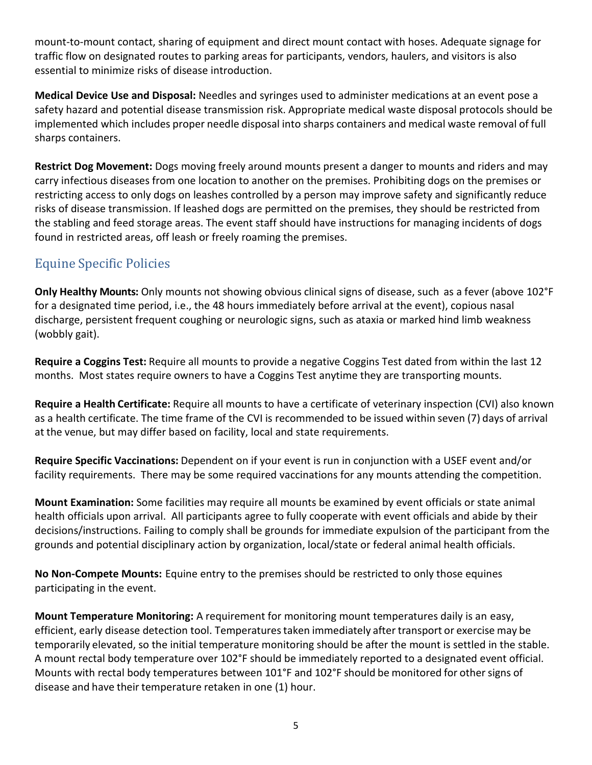mount-to-mount contact, sharing of equipment and direct mount contact with hoses. Adequate signage for traffic flow on designated routes to parking areas for participants, vendors, haulers, and visitors is also essential to minimize risks of disease introduction.

**Medical Device Use and Disposal:** Needles and syringes used to administer medications at an event pose a safety hazard and potential disease transmission risk. Appropriate medical waste disposal protocols should be implemented which includes proper needle disposal into sharps containers and medical waste removal of full sharps containers.

**Restrict Dog Movement:** Dogs moving freely around mounts present a danger to mounts and riders and may carry infectious diseases from one location to another on the premises. Prohibiting dogs on the premises or restricting access to only dogs on leashes controlled by a person may improve safety and significantly reduce risks of disease transmission. If leashed dogs are permitted on the premises, they should be restricted from the stabling and feed storage areas. The event staff should have instructions for managing incidents of dogs found in restricted areas, off leash or freely roaming the premises.

### <span id="page-5-0"></span>Equine Specific Policies

**Only Healthy Mounts:** Only mounts not showing obvious clinical signs of disease, such as a fever (above 102°F for a designated time period, i.e., the 48 hours immediately before arrival at the event), copious nasal discharge, persistent frequent coughing or neurologic signs, such as ataxia or marked hind limb weakness (wobbly gait).

**Require a Coggins Test:** Require all mounts to provide a negative Coggins Test dated from within the last 12 months. Most states require owners to have a Coggins Test anytime they are transporting mounts.

**Require a Health Certificate:** Require all mounts to have a certificate of veterinary inspection (CVI) also known as a health certificate. The time frame of the CVI is recommended to be issued within seven (7) days of arrival at the venue, but may differ based on facility, local and state requirements.

**Require Specific Vaccinations:** Dependent on if your event is run in conjunction with a USEF event and/or facility requirements. There may be some required vaccinations for any mounts attending the competition.

**Mount Examination:** Some facilities may require all mounts be examined by event officials or state animal health officials upon arrival. All participants agree to fully cooperate with event officials and abide by their decisions/instructions. Failing to comply shall be grounds for immediate expulsion of the participant from the grounds and potential disciplinary action by organization, local/state or federal animal health officials.

**No Non-Compete Mounts:** Equine entry to the premises should be restricted to only those equines participating in the event.

**Mount Temperature Monitoring:** A requirement for monitoring mount temperatures daily is an easy, efficient, early disease detection tool. Temperatures taken immediately after transport or exercise may be temporarily elevated, so the initial temperature monitoring should be after the mount is settled in the stable. A mount rectal body temperature over 102°F should be immediately reported to a designated event official. Mounts with rectal body temperatures between 101°F and 102°F should be monitored for other signs of disease and have their temperature retaken in one (1) hour.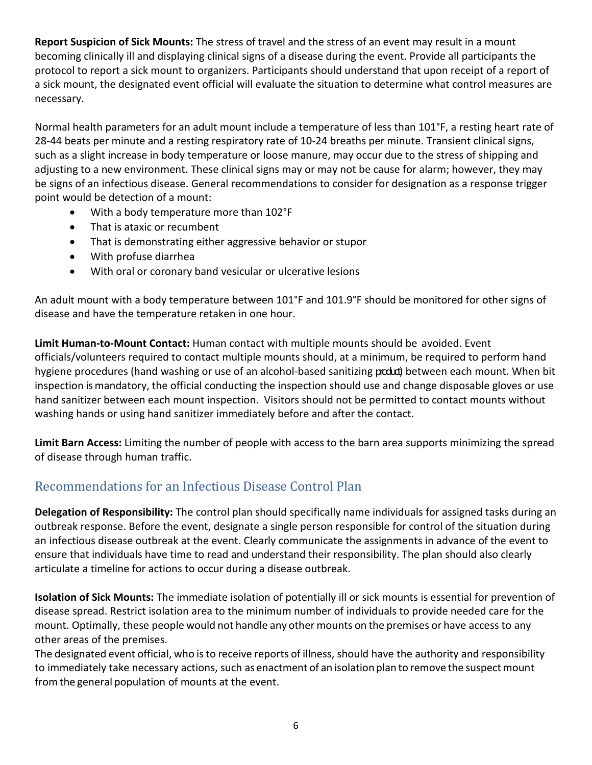**Report Suspicion of Sick Mounts:** The stress of travel and the stress of an event may result in a mount becoming clinically ill and displaying clinical signs of a disease during the event. Provide all participants the protocol to report a sick mount to organizers. Participants should understand that upon receipt of a report of a sick mount, the designated event official will evaluate the situation to determine what control measures are necessary.

Normal health parameters for an adult mount include a temperature of less than 101°F, a resting heart rate of 28-44 beats per minute and a resting respiratory rate of 10-24 breaths per minute. Transient clinical signs, such as a slight increase in body temperature or loose manure, may occur due to the stress of shipping and adjusting to a new environment. These clinical signs may or may not be cause for alarm; however, they may be signs of an infectious disease. General recommendations to consider for designation as a response trigger point would be detection of a mount:

- With a body temperature more than 102°F
- That is ataxic or recumbent
- That is demonstrating either aggressive behavior or stupor
- With profuse diarrhea
- With oral or coronary band vesicular or ulcerative lesions

An adult mount with a body temperature between 101°F and 101.9°F should be monitored for other signs of disease and have the temperature retaken in one hour.

**Limit Human-to-Mount Contact:** Human contact with multiple mounts should be avoided. Event officials/volunteers required to contact multiple mounts should, at a minimum, be required to perform hand hygiene procedures (hand washing or use of an alcohol-based sanitizing produd) between each mount. When bit inspection is mandatory, the official conducting the inspection should use and change disposable gloves or use hand sanitizer between each mount inspection. Visitors should not be permitted to contact mounts without washing hands or using hand sanitizer immediately before and after the contact.

**Limit Barn Access:** Limiting the number of people with access to the barn area supports minimizing the spread of disease through human traffic.

### <span id="page-6-0"></span>Recommendations for an Infectious Disease Control Plan

**Delegation of Responsibility:** The control plan should specifically name individuals for assigned tasks during an outbreak response. Before the event, designate a single person responsible for control of the situation during an infectious disease outbreak at the event. Clearly communicate the assignments in advance of the event to ensure that individuals have time to read and understand their responsibility. The plan should also clearly articulate a timeline for actions to occur during a disease outbreak.

**Isolation of Sick Mounts:** The immediate isolation of potentially ill or sick mounts is essential for prevention of disease spread. Restrict isolation area to the minimum number of individuals to provide needed care for the mount. Optimally, these people would not handle any other mounts on the premises or have access to any other areas of the premises.

The designated event official, who isto receive reports of illness, should have the authority and responsibility to immediately take necessary actions, such as enactment of an isolation plan to remove the suspect mount fromthe general population of mounts at the event.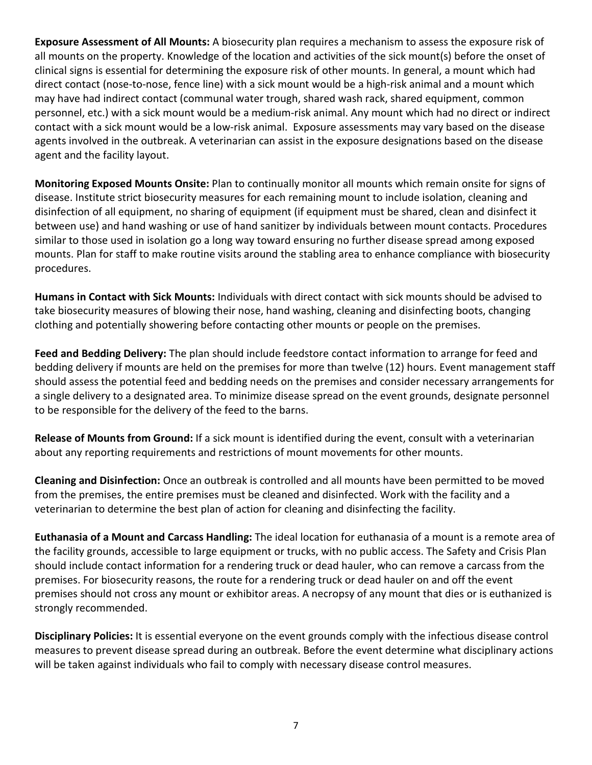**Exposure Assessment of All Mounts:** A biosecurity plan requires a mechanism to assess the exposure risk of all mounts on the property. Knowledge of the location and activities of the sick mount(s) before the onset of clinical signs is essential for determining the exposure risk of other mounts. In general, a mount which had direct contact (nose-to-nose, fence line) with a sick mount would be a high-risk animal and a mount which may have had indirect contact (communal water trough, shared wash rack, shared equipment, common personnel, etc.) with a sick mount would be a medium-risk animal. Any mount which had no direct or indirect contact with a sick mount would be a low-risk animal. Exposure assessments may vary based on the disease agents involved in the outbreak. A veterinarian can assist in the exposure designations based on the disease agent and the facility layout.

**Monitoring Exposed Mounts Onsite:** Plan to continually monitor all mounts which remain onsite for signs of disease. Institute strict biosecurity measures for each remaining mount to include isolation, cleaning and disinfection of all equipment, no sharing of equipment (if equipment must be shared, clean and disinfect it between use) and hand washing or use of hand sanitizer by individuals between mount contacts. Procedures similar to those used in isolation go a long way toward ensuring no further disease spread among exposed mounts. Plan for staff to make routine visits around the stabling area to enhance compliance with biosecurity procedures.

**Humans in Contact with Sick Mounts:** Individuals with direct contact with sick mounts should be advised to take biosecurity measures of blowing their nose, hand washing, cleaning and disinfecting boots, changing clothing and potentially showering before contacting other mounts or people on the premises.

**Feed and Bedding Delivery:** The plan should include feedstore contact information to arrange for feed and bedding delivery if mounts are held on the premises for more than twelve (12) hours. Event management staff should assess the potential feed and bedding needs on the premises and consider necessary arrangements for a single delivery to a designated area. To minimize disease spread on the event grounds, designate personnel to be responsible for the delivery of the feed to the barns.

**Release of Mounts from Ground:** If a sick mount is identified during the event, consult with a veterinarian about any reporting requirements and restrictions of mount movements for other mounts.

**Cleaning and Disinfection:** Once an outbreak is controlled and all mounts have been permitted to be moved from the premises, the entire premises must be cleaned and disinfected. Work with the facility and a veterinarian to determine the best plan of action for cleaning and disinfecting the facility.

**Euthanasia of a Mount and Carcass Handling:** The ideal location for euthanasia of a mount is a remote area of the facility grounds, accessible to large equipment or trucks, with no public access. The Safety and Crisis Plan should include contact information for a rendering truck or dead hauler, who can remove a carcass from the premises. For biosecurity reasons, the route for a rendering truck or dead hauler on and off the event premises should not cross any mount or exhibitor areas. A necropsy of any mount that dies or is euthanized is strongly recommended.

**Disciplinary Policies:** It is essential everyone on the event grounds comply with the infectious disease control measures to prevent disease spread during an outbreak. Before the event determine what disciplinary actions will be taken against individuals who fail to comply with necessary disease control measures.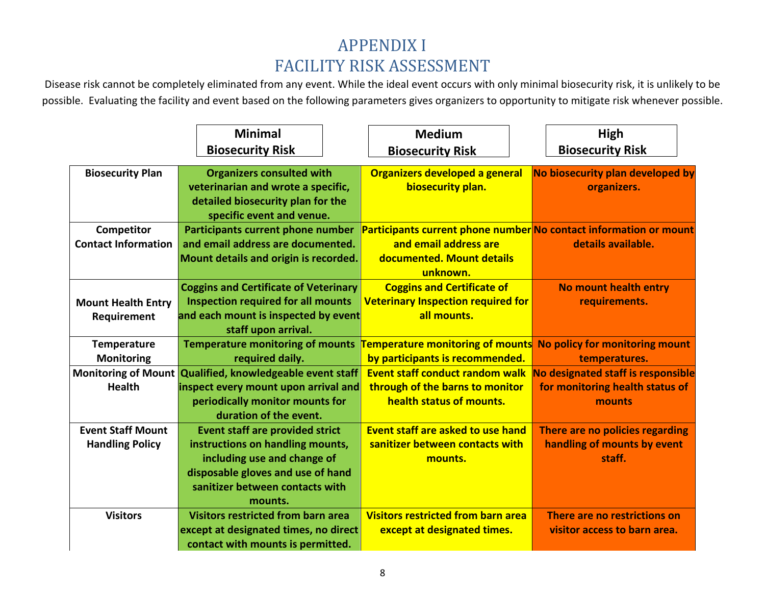# APPENDIX I FACILITY RISK ASSESSMENT

Disease risk cannot be completely eliminated from any event. While the ideal event occurs with only minimal biosecurity risk, it is unlikely to be possible. Evaluating the facility and event based on the following parameters gives organizers to opportunity to mitigate risk whenever possible.

<span id="page-8-0"></span>

|                            | <b>Minimal</b>                               | <b>Medium</b>                             | High                                                              |
|----------------------------|----------------------------------------------|-------------------------------------------|-------------------------------------------------------------------|
|                            | <b>Biosecurity Risk</b>                      | <b>Biosecurity Risk</b>                   | <b>Biosecurity Risk</b>                                           |
| <b>Biosecurity Plan</b>    | <b>Organizers consulted with</b>             | Organizers developed a general            | No biosecurity plan developed by                                  |
|                            | veterinarian and wrote a specific,           | biosecurity plan.                         | organizers.                                                       |
|                            | detailed biosecurity plan for the            |                                           |                                                                   |
|                            | specific event and venue.                    |                                           |                                                                   |
| Competitor                 | Participants current phone number            |                                           | Participants current phone number No contact information or mount |
| <b>Contact Information</b> | and email address are documented.            | and email address are                     | details available.                                                |
|                            | Mount details and origin is recorded.        | documented. Mount details                 |                                                                   |
|                            |                                              | unknown.                                  |                                                                   |
|                            | <b>Coggins and Certificate of Veterinary</b> | <b>Coggins and Certificate of</b>         | No mount health entry                                             |
| <b>Mount Health Entry</b>  | <b>Inspection required for all mounts</b>    | <b>Veterinary Inspection required for</b> | requirements.                                                     |
| Requirement                | and each mount is inspected by event         | all mounts.                               |                                                                   |
|                            | staff upon arrival.                          |                                           |                                                                   |
| <b>Temperature</b>         | <b>Temperature monitoring of mounts</b>      | <b>Temperature monitoring of mounts</b>   | No policy for monitoring mount                                    |
| Monitoring                 | required daily.                              | by participants is recommended.           | temperatures.                                                     |
| <b>Monitoring of Mount</b> | Qualified, knowledgeable event staff         | <b>Event staff conduct random walk</b>    | No designated staff is responsible                                |
| <b>Health</b>              | inspect every mount upon arrival and         | through of the barns to monitor           | for monitoring health status of                                   |
|                            | periodically monitor mounts for              | health status of mounts.                  | mounts                                                            |
|                            | duration of the event.                       |                                           |                                                                   |
| <b>Event Staff Mount</b>   | <b>Event staff are provided strict</b>       | Event staff are asked to use hand         | There are no policies regarding                                   |
| <b>Handling Policy</b>     | instructions on handling mounts,             | sanitizer between contacts with           | handling of mounts by event                                       |
|                            | including use and change of                  | mounts.                                   | staff.                                                            |
|                            | disposable gloves and use of hand            |                                           |                                                                   |
|                            | sanitizer between contacts with              |                                           |                                                                   |
|                            | mounts.                                      |                                           |                                                                   |
| <b>Visitors</b>            | <b>Visitors restricted from barn area</b>    | <b>Visitors restricted from barn area</b> | There are no restrictions on                                      |
|                            | except at designated times, no direct        | except at designated times.               | visitor access to barn area.                                      |
|                            | contact with mounts is permitted.            |                                           |                                                                   |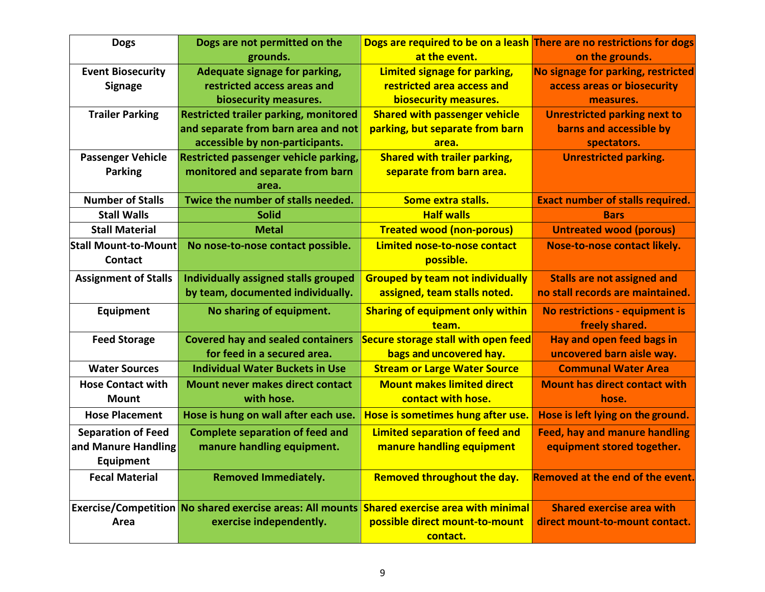| <b>Dogs</b>                 | Dogs are not permitted on the                                    | Dogs are required to be on a leash There are no restrictions for dogs |                                         |
|-----------------------------|------------------------------------------------------------------|-----------------------------------------------------------------------|-----------------------------------------|
|                             | grounds.                                                         | at the event.                                                         | on the grounds.                         |
| <b>Event Biosecurity</b>    | Adequate signage for parking,                                    | Limited signage for parking,                                          | No signage for parking, restricted      |
| <b>Signage</b>              | restricted access areas and                                      | restricted area access and                                            | access areas or biosecurity             |
|                             | biosecurity measures.                                            | biosecurity measures.                                                 | measures.                               |
| <b>Trailer Parking</b>      | <b>Restricted trailer parking, monitored</b>                     | <b>Shared with passenger vehicle</b>                                  | <b>Unrestricted parking next to</b>     |
|                             | and separate from barn area and not                              | parking, but separate from barn                                       | barns and accessible by                 |
|                             | accessible by non-participants.                                  | area.                                                                 | spectators.                             |
| <b>Passenger Vehicle</b>    | Restricted passenger vehicle parking,                            | <b>Shared with trailer parking,</b>                                   | <b>Unrestricted parking.</b>            |
| <b>Parking</b>              | monitored and separate from barn                                 | separate from barn area.                                              |                                         |
|                             | area.                                                            |                                                                       |                                         |
| <b>Number of Stalls</b>     | Twice the number of stalls needed.                               | Some extra stalls.                                                    | <b>Exact number of stalls required.</b> |
| <b>Stall Walls</b>          | <b>Solid</b>                                                     | <b>Half walls</b>                                                     | <b>Bars</b>                             |
| <b>Stall Material</b>       | <b>Metal</b>                                                     | <b>Treated wood (non-porous)</b>                                      | <b>Untreated wood (porous)</b>          |
| <b>Stall Mount-to-Mount</b> | No nose-to-nose contact possible.                                | Limited nose-to-nose contact                                          | Nose-to-nose contact likely.            |
| <b>Contact</b>              |                                                                  | possible.                                                             |                                         |
| <b>Assignment of Stalls</b> | Individually assigned stalls grouped                             | <b>Grouped by team not individually</b>                               | <b>Stalls are not assigned and</b>      |
|                             | by team, documented individually.                                | assigned, team stalls noted.                                          | no stall records are maintained.        |
| Equipment                   | No sharing of equipment.                                         | <b>Sharing of equipment only within</b>                               | No restrictions - equipment is          |
|                             |                                                                  | team.                                                                 | freely shared.                          |
| <b>Feed Storage</b>         | <b>Covered hay and sealed containers</b>                         | <b>Secure storage stall with open feed</b>                            | Hay and open feed bags in               |
|                             | for feed in a secured area.                                      | bags and uncovered hay.                                               | uncovered barn aisle way.               |
| <b>Water Sources</b>        | <b>Individual Water Buckets in Use</b>                           | <b>Stream or Large Water Source</b>                                   | <b>Communal Water Area</b>              |
| <b>Hose Contact with</b>    | <b>Mount never makes direct contact</b>                          | <b>Mount makes limited direct</b>                                     | <b>Mount has direct contact with</b>    |
| <b>Mount</b>                | with hose.                                                       | contact with hose.                                                    | hose.                                   |
| <b>Hose Placement</b>       | Hose is hung on wall after each use.                             | Hose is sometimes hung after use.                                     | Hose is left lying on the ground.       |
| <b>Separation of Feed</b>   | <b>Complete separation of feed and</b>                           | <b>Limited separation of feed and</b>                                 | <b>Feed, hay and manure handling</b>    |
| and Manure Handling         | manure handling equipment.                                       | manure handling equipment                                             | equipment stored together.              |
| Equipment                   |                                                                  |                                                                       |                                         |
| <b>Fecal Material</b>       | <b>Removed Immediately.</b>                                      | Removed throughout the day.                                           | <b>Removed at the end of the event.</b> |
|                             |                                                                  |                                                                       |                                         |
|                             | <b>Exercise/Competition No shared exercise areas: All mounts</b> | <b>Shared exercise area with minimal</b>                              | <b>Shared exercise area with</b>        |
| Area                        | exercise independently.                                          | possible direct mount-to-mount                                        | direct mount-to-mount contact.          |
|                             |                                                                  | contact.                                                              |                                         |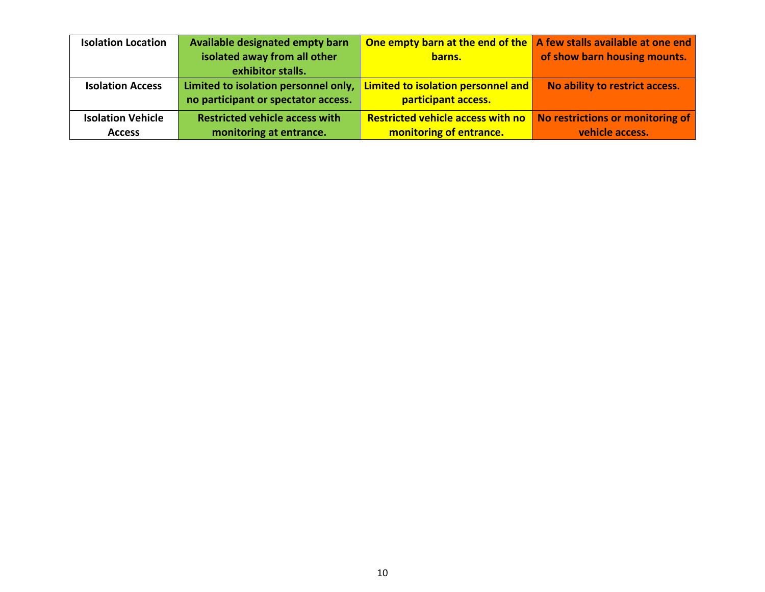| <b>Isolation Location</b> | Available designated empty barn       | <b>One empty barn at the end of the <math>\vert</math> A few stalls available at one end</b> |                                  |
|---------------------------|---------------------------------------|----------------------------------------------------------------------------------------------|----------------------------------|
|                           | isolated away from all other          | barns.                                                                                       | of show barn housing mounts.     |
|                           | exhibitor stalls.                     |                                                                                              |                                  |
| <b>Isolation Access</b>   | Limited to isolation personnel only,  | <b>Limited to isolation personnel and</b>                                                    | No ability to restrict access.   |
|                           | no participant or spectator access.   | participant access.                                                                          |                                  |
| <b>Isolation Vehicle</b>  | <b>Restricted vehicle access with</b> | <b>Restricted vehicle access with no</b>                                                     | No restrictions or monitoring of |
| <b>Access</b>             | monitoring at entrance.               | monitoring of entrance.                                                                      | vehicle access.                  |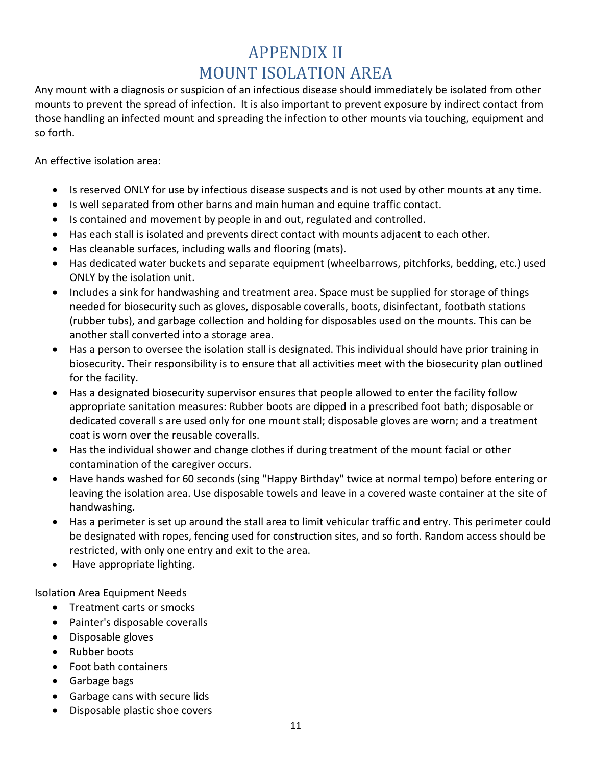# APPENDIX II MOUNT ISOLATION AREA

<span id="page-11-0"></span>Any mount with a diagnosis or suspicion of an infectious disease should immediately be isolated from other mounts to prevent the spread of infection. It is also important to prevent exposure by indirect contact from those handling an infected mount and spreading the infection to other mounts via touching, equipment and so forth.

An effective isolation area:

- Is reserved ONLY for use by infectious disease suspects and is not used by other mounts at any time.
- Is well separated from other barns and main human and equine traffic contact.
- Is contained and movement by people in and out, regulated and controlled.
- Has each stall is isolated and prevents direct contact with mounts adjacent to each other.
- Has cleanable surfaces, including walls and flooring (mats).
- Has dedicated water buckets and separate equipment (wheelbarrows, pitchforks, bedding, etc.) used ONLY by the isolation unit.
- Includes a sink for handwashing and treatment area. Space must be supplied for storage of things needed for biosecurity such as gloves, disposable coveralls, boots, disinfectant, footbath stations (rubber tubs), and garbage collection and holding for disposables used on the mounts. This can be another stall converted into a storage area.
- Has a person to oversee the isolation stall is designated. This individual should have prior training in biosecurity. Their responsibility is to ensure that all activities meet with the biosecurity plan outlined for the facility.
- Has a designated biosecurity supervisor ensures that people allowed to enter the facility follow appropriate sanitation measures: Rubber boots are dipped in a prescribed foot bath; disposable or dedicated coverall s are used only for one mount stall; disposable gloves are worn; and a treatment coat is worn over the reusable coveralls.
- Has the individual shower and change clothes if during treatment of the mount facial or other contamination of the caregiver occurs.
- Have hands washed for 60 seconds (sing "Happy Birthday" twice at normal tempo) before entering or leaving the isolation area. Use disposable towels and leave in a covered waste container at the site of handwashing.
- Has a perimeter is set up around the stall area to limit vehicular traffic and entry. This perimeter could be designated with ropes, fencing used for construction sites, and so forth. Random access should be restricted, with only one entry and exit to the area.
- Have appropriate lighting.

Isolation Area Equipment Needs

- Treatment carts or smocks
- Painter's disposable coveralls
- Disposable gloves
- Rubber boots
- Foot bath containers
- Garbage bags
- Garbage cans with secure lids
- Disposable plastic shoe covers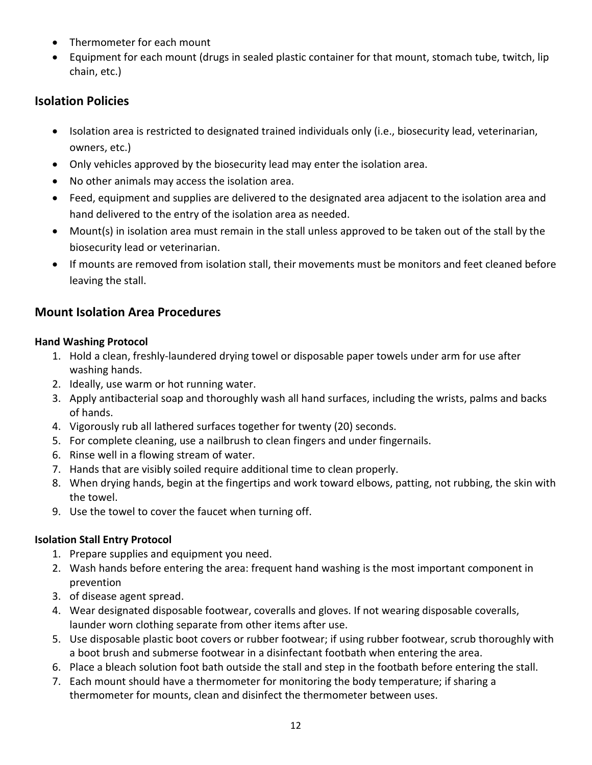- Thermometer for each mount
- Equipment for each mount (drugs in sealed plastic container for that mount, stomach tube, twitch, lip chain, etc.)

#### **Isolation Policies**

- Isolation area is restricted to designated trained individuals only (i.e., biosecurity lead, veterinarian, owners, etc.)
- Only vehicles approved by the biosecurity lead may enter the isolation area.
- No other animals may access the isolation area.
- Feed, equipment and supplies are delivered to the designated area adjacent to the isolation area and hand delivered to the entry of the isolation area as needed.
- Mount(s) in isolation area must remain in the stall unless approved to be taken out of the stall by the biosecurity lead or veterinarian.
- If mounts are removed from isolation stall, their movements must be monitors and feet cleaned before leaving the stall.

#### **Mount Isolation Area Procedures**

#### **Hand Washing Protocol**

- 1. Hold a clean, freshly-laundered drying towel or disposable paper towels under arm for use after washing hands.
- 2. Ideally, use warm or hot running water.
- 3. Apply antibacterial soap and thoroughly wash all hand surfaces, including the wrists, palms and backs of hands.
- 4. Vigorously rub all lathered surfaces together for twenty (20) seconds.
- 5. For complete cleaning, use a nailbrush to clean fingers and under fingernails.
- 6. Rinse well in a flowing stream of water.
- 7. Hands that are visibly soiled require additional time to clean properly.
- 8. When drying hands, begin at the fingertips and work toward elbows, patting, not rubbing, the skin with the towel.
- 9. Use the towel to cover the faucet when turning off.

#### **Isolation Stall Entry Protocol**

- 1. Prepare supplies and equipment you need.
- 2. Wash hands before entering the area: frequent hand washing is the most important component in prevention
- 3. of disease agent spread.
- 4. Wear designated disposable footwear, coveralls and gloves. If not wearing disposable coveralls, launder worn clothing separate from other items after use.
- 5. Use disposable plastic boot covers or rubber footwear; if using rubber footwear, scrub thoroughly with a boot brush and submerse footwear in a disinfectant footbath when entering the area.
- 6. Place a bleach solution foot bath outside the stall and step in the footbath before entering the stall.
- 7. Each mount should have a thermometer for monitoring the body temperature; if sharing a thermometer for mounts, clean and disinfect the thermometer between uses.